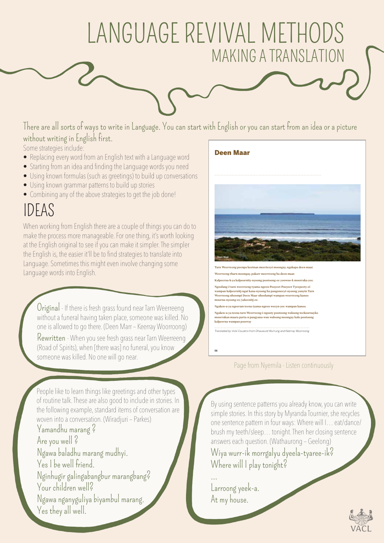## LANGUAGE REVIVAL METHODS MAKING A TRANSLATION

There are all sorts of ways to write in Language. You can start with English or you can start from an idea or a picture without writing in English first. **Gunditjmara**

Some strategies include:

- Replacing every word from an English text with a Language word
- Starting from an idea and finding the Language words you need
- Using known formulas (such as greetings) to build up conversations
- Using known grammar patterns to build up stories
- Combining any of the above strategies to get the job done!

## IDEAS

When working from English there are a couple of things you can do to make the process more manageable. For one thing, it's worth looking at the English original to see if you can make it simpler. The simpler the English is, the easier it'll be to find strategies to translate into Language. Sometimes this might even involve changing some Language words into English.

Original - If there is fresh grass found near Tarn Weerreeng without a funeral having taken place, someone was killed. No one is allowed to go there. (Deen Marr – Keerray Woorroong)

Rewritten - When you see fresh grass near Tarn Weerreeng (Road of Spirits), when [there was] no funeral, you know someone was killed. No one will go near



Page from Nyernila - Listen continuously

People like to learn things like greetings and other types of routine talk. These are also good to include in stories. In the following example, standard items of conversation are woven into a conversation. (Wiradjuri – Parkes)

Yamandhu marang ? Are you well ? Ngawa baladhu marang mudhyi. Yes I be well friend. Nginhugir galingabangbur marangbang? Your children well? Ngawa nganyguliya biyambul marang. Yes they all well.

By using sentence patterns you already know, you can write simple stories. In this story by Myranda Tournier, she recycles one sentence pattern in four ways: Where will I… eat/dance/ brush my teeth/sleep… tonight. Then her closing sentence answers each question. (Wathaurong – Geelong)

Wiya wurr-ik morrgalyu dyeela-tyaree-ik? Where will I play tonight?

… Larroong yeek-a. At my house.